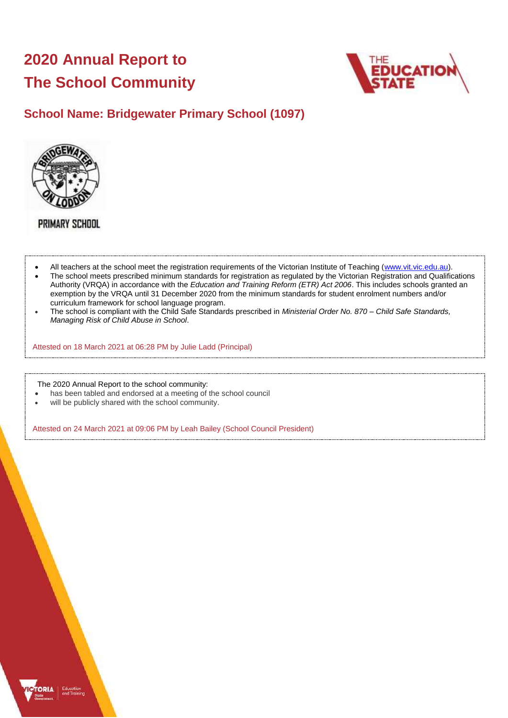# **2020 Annual Report to The School Community**



## **School Name: Bridgewater Primary School (1097)**



**PRIMARY SCHOOL** 

- All teachers at the school meet the registration requirements of the Victorian Institute of Teaching [\(www.vit.vic.edu.au\)](https://www.vit.vic.edu.au/).
- The school meets prescribed minimum standards for registration as regulated by the Victorian Registration and Qualifications Authority (VRQA) in accordance with the *Education and Training Reform (ETR) Act 2006*. This includes schools granted an exemption by the VRQA until 31 December 2020 from the minimum standards for student enrolment numbers and/or curriculum framework for school language program.
- The school is compliant with the Child Safe Standards prescribed in *Ministerial Order No. 870 – Child Safe Standards, Managing Risk of Child Abuse in School*.

Attested on 18 March 2021 at 06:28 PM by Julie Ladd (Principal)

The 2020 Annual Report to the school community:

- has been tabled and endorsed at a meeting of the school council
- will be publicly shared with the school community.

Attested on 24 March 2021 at 09:06 PM by Leah Bailey (School Council President)

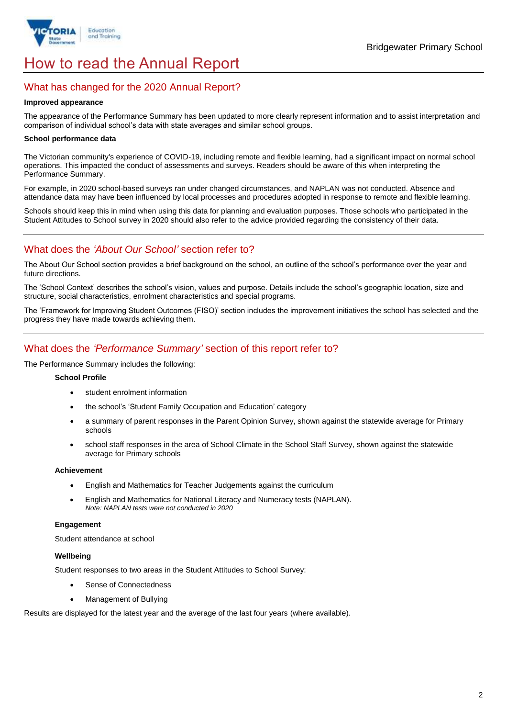

# How to read the Annual Report

## What has changed for the 2020 Annual Report?

#### **Improved appearance**

The appearance of the Performance Summary has been updated to more clearly represent information and to assist interpretation and comparison of individual school's data with state averages and similar school groups.

#### **School performance data**

The Victorian community's experience of COVID-19, including remote and flexible learning, had a significant impact on normal school operations. This impacted the conduct of assessments and surveys. Readers should be aware of this when interpreting the Performance Summary.

For example, in 2020 school-based surveys ran under changed circumstances, and NAPLAN was not conducted. Absence and attendance data may have been influenced by local processes and procedures adopted in response to remote and flexible learning.

Schools should keep this in mind when using this data for planning and evaluation purposes. Those schools who participated in the Student Attitudes to School survey in 2020 should also refer to the advice provided regarding the consistency of their data.

## What does the *'About Our School'* section refer to?

The About Our School section provides a brief background on the school, an outline of the school's performance over the year and future directions.

The 'School Context' describes the school's vision, values and purpose. Details include the school's geographic location, size and structure, social characteristics, enrolment characteristics and special programs.

The 'Framework for Improving Student Outcomes (FISO)' section includes the improvement initiatives the school has selected and the progress they have made towards achieving them.

## What does the *'Performance Summary'* section of this report refer to?

The Performance Summary includes the following:

#### **School Profile**

- student enrolment information
- the school's 'Student Family Occupation and Education' category
- a summary of parent responses in the Parent Opinion Survey, shown against the statewide average for Primary schools
- school staff responses in the area of School Climate in the School Staff Survey, shown against the statewide average for Primary schools

#### **Achievement**

- English and Mathematics for Teacher Judgements against the curriculum
- English and Mathematics for National Literacy and Numeracy tests (NAPLAN). *Note: NAPLAN tests were not conducted in 2020*

### **Engagement**

Student attendance at school

#### **Wellbeing**

Student responses to two areas in the Student Attitudes to School Survey:

- Sense of Connectedness
- Management of Bullying

Results are displayed for the latest year and the average of the last four years (where available).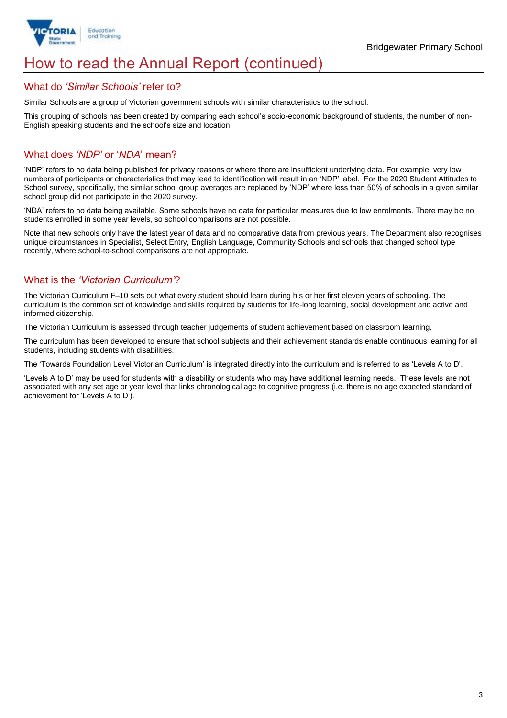

## How to read the Annual Report (continued)

## What do *'Similar Schools'* refer to?

Similar Schools are a group of Victorian government schools with similar characteristics to the school.

This grouping of schools has been created by comparing each school's socio-economic background of students, the number of non-English speaking students and the school's size and location.

## What does *'NDP'* or '*NDA*' mean?

'NDP' refers to no data being published for privacy reasons or where there are insufficient underlying data. For example, very low numbers of participants or characteristics that may lead to identification will result in an 'NDP' label. For the 2020 Student Attitudes to School survey, specifically, the similar school group averages are replaced by 'NDP' where less than 50% of schools in a given similar school group did not participate in the 2020 survey.

'NDA' refers to no data being available. Some schools have no data for particular measures due to low enrolments. There may be no students enrolled in some year levels, so school comparisons are not possible.

Note that new schools only have the latest year of data and no comparative data from previous years. The Department also recognises unique circumstances in Specialist, Select Entry, English Language, Community Schools and schools that changed school type recently, where school-to-school comparisons are not appropriate.

## What is the *'Victorian Curriculum'*?

The Victorian Curriculum F–10 sets out what every student should learn during his or her first eleven years of schooling. The curriculum is the common set of knowledge and skills required by students for life-long learning, social development and active and informed citizenship.

The Victorian Curriculum is assessed through teacher judgements of student achievement based on classroom learning.

The curriculum has been developed to ensure that school subjects and their achievement standards enable continuous learning for all students, including students with disabilities.

The 'Towards Foundation Level Victorian Curriculum' is integrated directly into the curriculum and is referred to as 'Levels A to D'.

'Levels A to D' may be used for students with a disability or students who may have additional learning needs. These levels are not associated with any set age or year level that links chronological age to cognitive progress (i.e. there is no age expected standard of achievement for 'Levels A to D').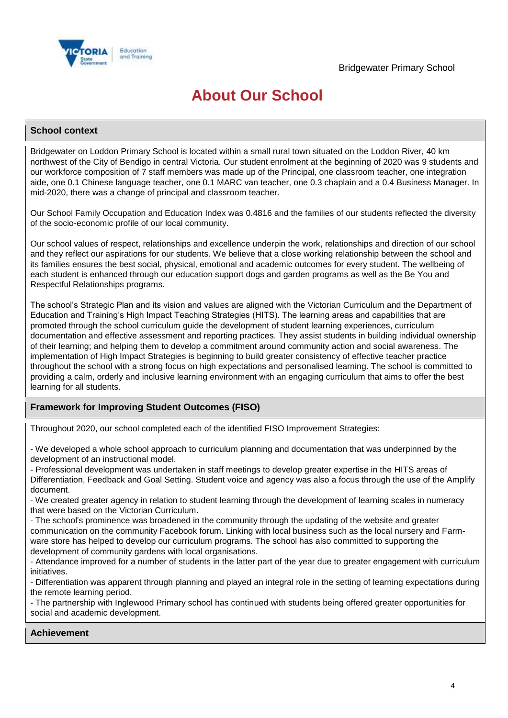

## **About Our School**

### **School context**

Bridgewater on Loddon Primary School is located within a small rural town situated on the Loddon River, 40 km northwest of the City of Bendigo in central Victoria. Our student enrolment at the beginning of 2020 was 9 students and our workforce composition of 7 staff members was made up of the Principal, one classroom teacher, one integration aide, one 0.1 Chinese language teacher, one 0.1 MARC van teacher, one 0.3 chaplain and a 0.4 Business Manager. In mid-2020, there was a change of principal and classroom teacher.

Our School Family Occupation and Education Index was 0.4816 and the families of our students reflected the diversity of the socio-economic profile of our local community.

Our school values of respect, relationships and excellence underpin the work, relationships and direction of our school and they reflect our aspirations for our students. We believe that a close working relationship between the school and its families ensures the best social, physical, emotional and academic outcomes for every student. The wellbeing of each student is enhanced through our education support dogs and garden programs as well as the Be You and Respectful Relationships programs.

The school's Strategic Plan and its vision and values are aligned with the Victorian Curriculum and the Department of Education and Training's High Impact Teaching Strategies (HITS). The learning areas and capabilities that are promoted through the school curriculum guide the development of student learning experiences, curriculum documentation and effective assessment and reporting practices. They assist students in building individual ownership of their learning; and helping them to develop a commitment around community action and social awareness. The implementation of High Impact Strategies is beginning to build greater consistency of effective teacher practice throughout the school with a strong focus on high expectations and personalised learning. The school is committed to providing a calm, orderly and inclusive learning environment with an engaging curriculum that aims to offer the best learning for all students.

## **Framework for Improving Student Outcomes (FISO)**

Throughout 2020, our school completed each of the identified FISO Improvement Strategies:

- We developed a whole school approach to curriculum planning and documentation that was underpinned by the development of an instructional model.

- Professional development was undertaken in staff meetings to develop greater expertise in the HITS areas of Differentiation, Feedback and Goal Setting. Student voice and agency was also a focus through the use of the Amplify document.

- We created greater agency in relation to student learning through the development of learning scales in numeracy that were based on the Victorian Curriculum.

- The school's prominence was broadened in the community through the updating of the website and greater communication on the community Facebook forum. Linking with local business such as the local nursery and Farmware store has helped to develop our curriculum programs. The school has also committed to supporting the development of community gardens with local organisations.

- Attendance improved for a number of students in the latter part of the year due to greater engagement with curriculum initiatives.

- Differentiation was apparent through planning and played an integral role in the setting of learning expectations during the remote learning period.

- The partnership with Inglewood Primary school has continued with students being offered greater opportunities for social and academic development.

## **Achievement**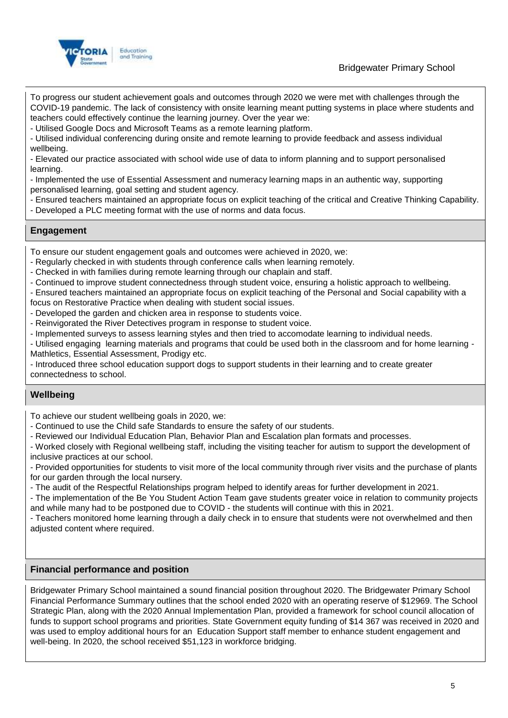

Bridgewater Primary School

To progress our student achievement goals and outcomes through 2020 we were met with challenges through the COVID-19 pandemic. The lack of consistency with onsite learning meant putting systems in place where students and teachers could effectively continue the learning journey. Over the year we:

- Utilised Google Docs and Microsoft Teams as a remote learning platform.

- Utilised individual conferencing during onsite and remote learning to provide feedback and assess individual wellbeing.

- Elevated our practice associated with school wide use of data to inform planning and to support personalised learning.

- Implemented the use of Essential Assessment and numeracy learning maps in an authentic way, supporting personalised learning, goal setting and student agency.

- Ensured teachers maintained an appropriate focus on explicit teaching of the critical and Creative Thinking Capability.

- Developed a PLC meeting format with the use of norms and data focus.

## **Engagement**

To ensure our student engagement goals and outcomes were achieved in 2020, we:

- Regularly checked in with students through conference calls when learning remotely.

- Checked in with families during remote learning through our chaplain and staff.

- Continued to improve student connectedness through student voice, ensuring a holistic approach to wellbeing.

- Ensured teachers maintained an appropriate focus on explicit teaching of the Personal and Social capability with a

focus on Restorative Practice when dealing with student social issues.

- Developed the garden and chicken area in response to students voice.
- Reinvigorated the River Detectives program in response to student voice.
- Implemented surveys to assess learning styles and then tried to accomodate learning to individual needs.

- Utilised engaging learning materials and programs that could be used both in the classroom and for home learning - Mathletics, Essential Assessment, Prodigy etc.

- Introduced three school education support dogs to support students in their learning and to create greater connectedness to school.

## **Wellbeing**

To achieve our student wellbeing goals in 2020, we:

- Continued to use the Child safe Standards to ensure the safety of our students.

- Reviewed our Individual Education Plan, Behavior Plan and Escalation plan formats and processes.

- Worked closely with Regional wellbeing staff, including the visiting teacher for autism to support the development of inclusive practices at our school.

- Provided opportunities for students to visit more of the local community through river visits and the purchase of plants for our garden through the local nursery.

- The audit of the Respectful Relationships program helped to identify areas for further development in 2021.

- The implementation of the Be You Student Action Team gave students greater voice in relation to community projects and while many had to be postponed due to COVID - the students will continue with this in 2021.

- Teachers monitored home learning through a daily check in to ensure that students were not overwhelmed and then adiusted content where required.

### **Financial performance and position**

Bridgewater Primary School maintained a sound financial position throughout 2020. The Bridgewater Primary School Financial Performance Summary outlines that the school ended 2020 with an operating reserve of \$12969. The School Strategic Plan, along with the 2020 Annual Implementation Plan, provided a framework for school council allocation of funds to support school programs and priorities. State Government equity funding of \$14 367 was received in 2020 and was used to employ additional hours for an Education Support staff member to enhance student engagement and well-being. In 2020, the school received \$51,123 in workforce bridging.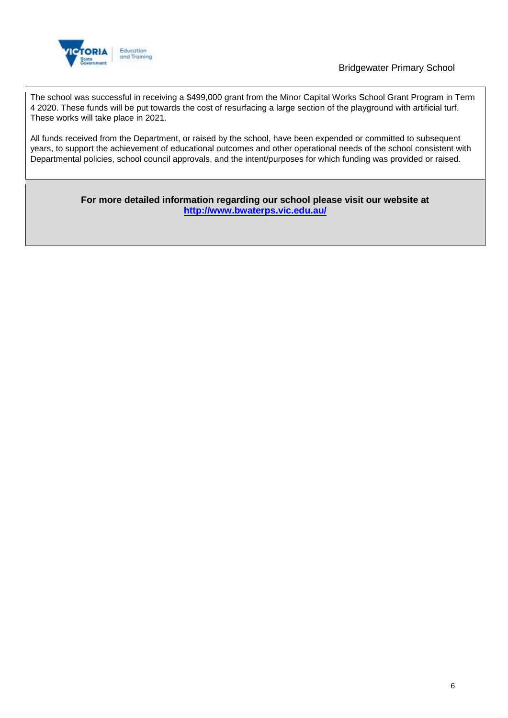

## Bridgewater Primary School

The school was successful in receiving a \$499,000 grant from the Minor Capital Works School Grant Program in Term 4 2020. These funds will be put towards the cost of resurfacing a large section of the playground with artificial turf. These works will take place in 2021.

All funds received from the Department, or raised by the school, have been expended or committed to subsequent years, to support the achievement of educational outcomes and other operational needs of the school consistent with Departmental policies, school council approvals, and the intent/purposes for which funding was provided or raised.

> **For more detailed information regarding our school please visit our website at <http://www.bwaterps.vic.edu.au/>**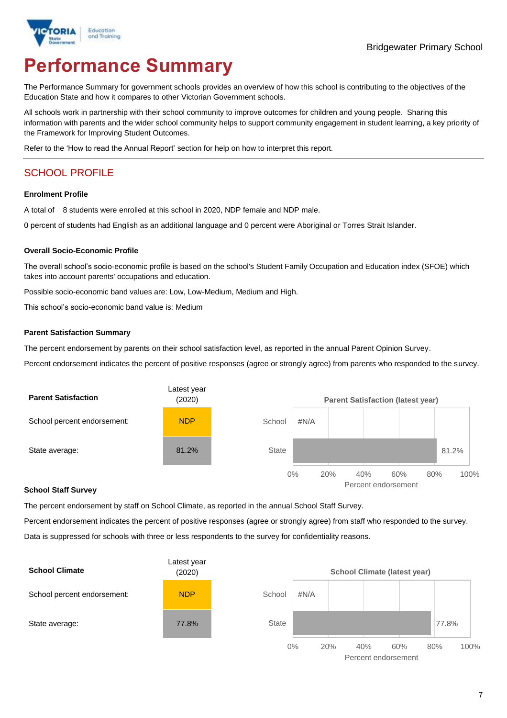

# **Performance Summary**

The Performance Summary for government schools provides an overview of how this school is contributing to the objectives of the Education State and how it compares to other Victorian Government schools.

All schools work in partnership with their school community to improve outcomes for children and young people. Sharing this information with parents and the wider school community helps to support community engagement in student learning, a key priority of the Framework for Improving Student Outcomes.

Refer to the 'How to read the Annual Report' section for help on how to interpret this report.

## SCHOOL PROFILE

#### **Enrolment Profile**

A total of 8 students were enrolled at this school in 2020, NDP female and NDP male.

0 percent of students had English as an additional language and 0 percent were Aboriginal or Torres Strait Islander.

#### **Overall Socio-Economic Profile**

The overall school's socio-economic profile is based on the school's Student Family Occupation and Education index (SFOE) which takes into account parents' occupations and education.

Possible socio-economic band values are: Low, Low-Medium, Medium and High.

This school's socio-economic band value is: Medium

#### **Parent Satisfaction Summary**

The percent endorsement by parents on their school satisfaction level, as reported in the annual Parent Opinion Survey.

Percent endorsement indicates the percent of positive responses (agree or strongly agree) from parents who responded to the survey.



#### **School Staff Survey**

The percent endorsement by staff on School Climate, as reported in the annual School Staff Survey.

Percent endorsement indicates the percent of positive responses (agree or strongly agree) from staff who responded to the survey. Data is suppressed for schools with three or less respondents to the survey for confidentiality reasons.



Percent endorsement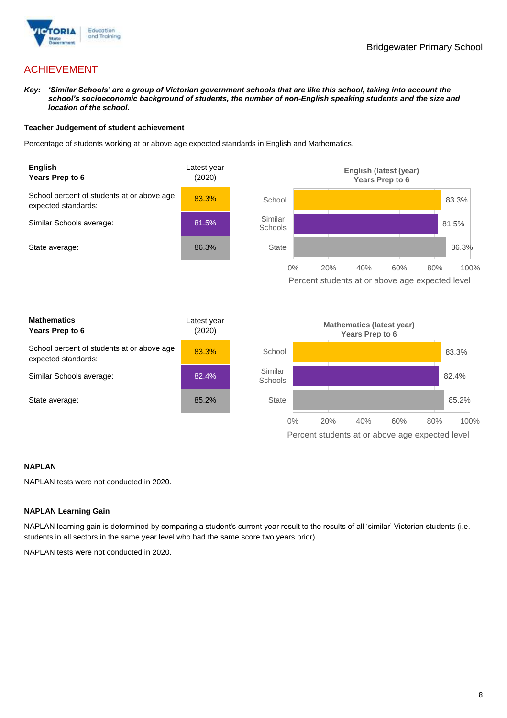

## ACHIEVEMENT

*Key: 'Similar Schools' are a group of Victorian government schools that are like this school, taking into account the school's socioeconomic background of students, the number of non-English speaking students and the size and location of the school.*

#### **Teacher Judgement of student achievement**

Percentage of students working at or above age expected standards in English and Mathematics.



#### **NAPLAN**

NAPLAN tests were not conducted in 2020.

#### **NAPLAN Learning Gain**

NAPLAN learning gain is determined by comparing a student's current year result to the results of all 'similar' Victorian students (i.e. students in all sectors in the same year level who had the same score two years prior).

NAPLAN tests were not conducted in 2020.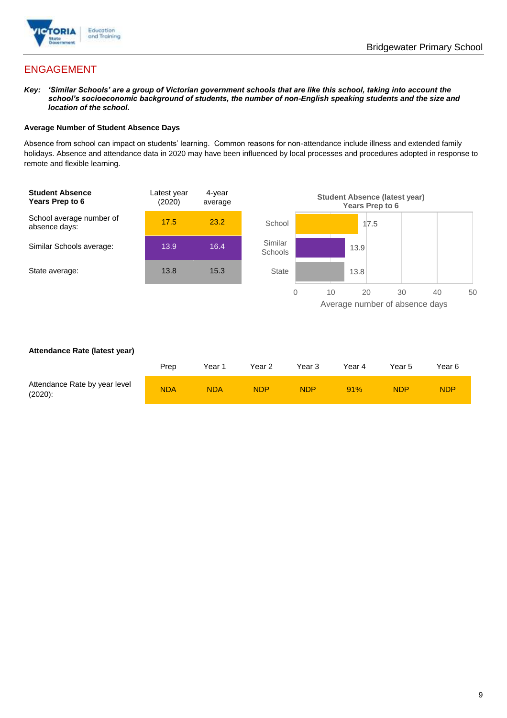

## ENGAGEMENT

*Key: 'Similar Schools' are a group of Victorian government schools that are like this school, taking into account the school's socioeconomic background of students, the number of non-English speaking students and the size and location of the school.*

#### **Average Number of Student Absence Days**

Absence from school can impact on students' learning. Common reasons for non-attendance include illness and extended family holidays. Absence and attendance data in 2020 may have been influenced by local processes and procedures adopted in response to remote and flexible learning.



#### **Attendance Rate (latest year)**

|                                             | Prep       | Year 1     | Year <sub>2</sub> | Year 3     | Year 4 | Year 5 | Year 6     |
|---------------------------------------------|------------|------------|-------------------|------------|--------|--------|------------|
| Attendance Rate by year level<br>$(2020)$ : | <b>NDA</b> | <b>NDA</b> | <b>NDP</b>        | <b>NDP</b> | 91%    | NDP    | <b>NDP</b> |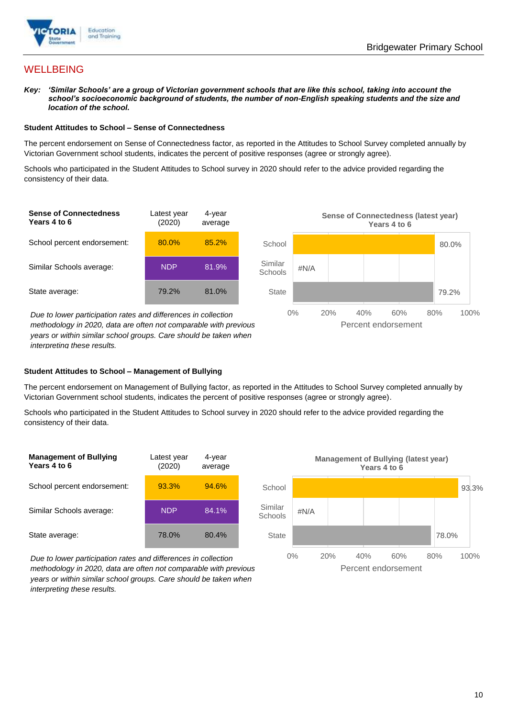

## **WELLBEING**

*Key: 'Similar Schools' are a group of Victorian government schools that are like this school, taking into account the school's socioeconomic background of students, the number of non-English speaking students and the size and location of the school.*

#### **Student Attitudes to School – Sense of Connectedness**

The percent endorsement on Sense of Connectedness factor, as reported in the Attitudes to School Survey completed annually by Victorian Government school students, indicates the percent of positive responses (agree or strongly agree).

Schools who participated in the Student Attitudes to School survey in 2020 should refer to the advice provided regarding the consistency of their data.



*methodology in 2020, data are often not comparable with previous years or within similar school groups. Care should be taken when interpreting these results.*

#### **Student Attitudes to School – Management of Bullying**

The percent endorsement on Management of Bullying factor, as reported in the Attitudes to School Survey completed annually by Victorian Government school students, indicates the percent of positive responses (agree or strongly agree).

Schools who participated in the Student Attitudes to School survey in 2020 should refer to the advice provided regarding the consistency of their data.



*Due to lower participation rates and differences in collection methodology in 2020, data are often not comparable with previous years or within similar school groups. Care should be taken when interpreting these results.*

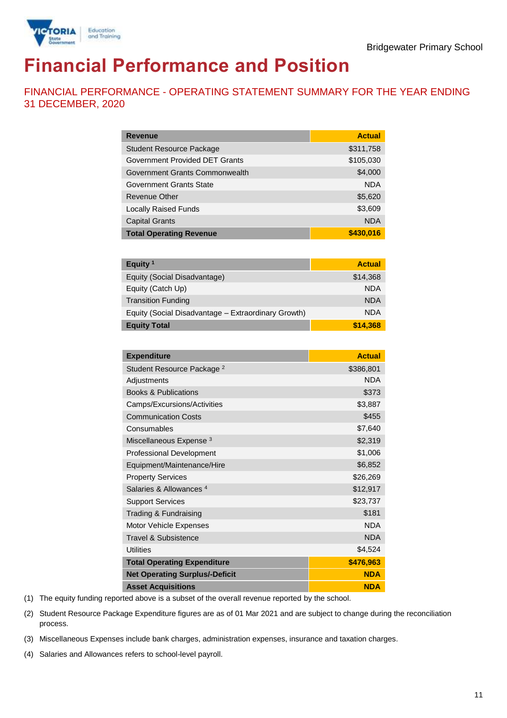

# **Financial Performance and Position**

FINANCIAL PERFORMANCE - OPERATING STATEMENT SUMMARY FOR THE YEAR ENDING 31 DECEMBER, 2020

| <b>Revenue</b>                  | <b>Actual</b> |
|---------------------------------|---------------|
| <b>Student Resource Package</b> | \$311,758     |
| Government Provided DET Grants  | \$105,030     |
| Government Grants Commonwealth  | \$4,000       |
| Government Grants State         | <b>NDA</b>    |
| Revenue Other                   | \$5,620       |
| <b>Locally Raised Funds</b>     | \$3,609       |
| <b>Capital Grants</b>           | <b>NDA</b>    |
| <b>Total Operating Revenue</b>  | \$430,016     |

| Equity <sup>1</sup>                                 | <b>Actual</b> |
|-----------------------------------------------------|---------------|
| Equity (Social Disadvantage)                        | \$14,368      |
| Equity (Catch Up)                                   | <b>NDA</b>    |
| <b>Transition Funding</b>                           | <b>NDA</b>    |
| Equity (Social Disadvantage - Extraordinary Growth) | <b>NDA</b>    |
| <b>Equity Total</b>                                 | \$14,368      |

| <b>Expenditure</b>                    | <b>Actual</b> |
|---------------------------------------|---------------|
| Student Resource Package <sup>2</sup> | \$386,801     |
| Adjustments                           | <b>NDA</b>    |
| <b>Books &amp; Publications</b>       | \$373         |
| Camps/Excursions/Activities           | \$3,887       |
| <b>Communication Costs</b>            | \$455         |
| Consumables                           | \$7,640       |
| Miscellaneous Expense <sup>3</sup>    | \$2,319       |
| <b>Professional Development</b>       | \$1,006       |
| Equipment/Maintenance/Hire            | \$6,852       |
| <b>Property Services</b>              | \$26,269      |
| Salaries & Allowances <sup>4</sup>    | \$12,917      |
| <b>Support Services</b>               | \$23,737      |
| Trading & Fundraising                 | \$181         |
| <b>Motor Vehicle Expenses</b>         | <b>NDA</b>    |
| Travel & Subsistence                  | <b>NDA</b>    |
| <b>Utilities</b>                      | \$4,524       |
| <b>Total Operating Expenditure</b>    | \$476,963     |
| <b>Net Operating Surplus/-Deficit</b> | <b>NDA</b>    |
| <b>Asset Acquisitions</b>             | <b>NDA</b>    |

(1) The equity funding reported above is a subset of the overall revenue reported by the school.

(2) Student Resource Package Expenditure figures are as of 01 Mar 2021 and are subject to change during the reconciliation process.

(3) Miscellaneous Expenses include bank charges, administration expenses, insurance and taxation charges.

(4) Salaries and Allowances refers to school-level payroll.